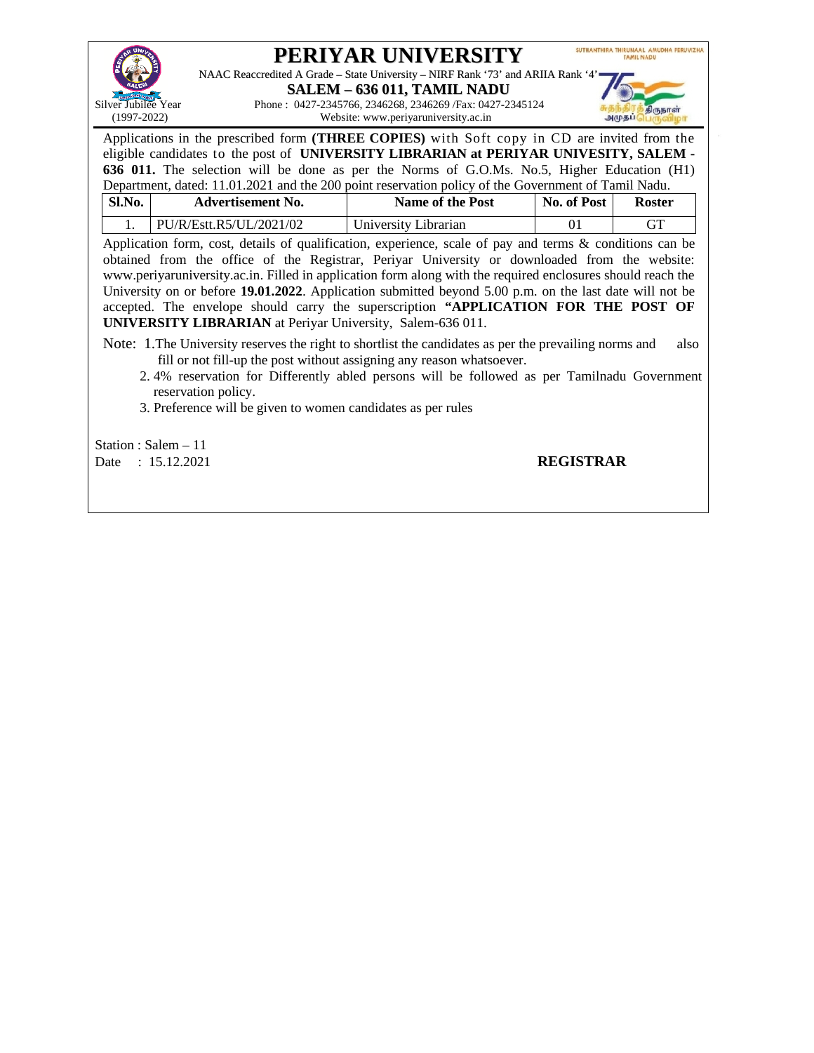

# **PERIYAR UNIVERSITY**

NAAC Reaccredited A Grade – State University – NIRF Rank '73' and ARIIA Rank '4'

**SALEM – 636 011, TAMIL NADU** Silver Jubilee Year Phone : 0427-2345766, 2346268, 2346269 /Fax: 0427-2345124<br>(1997-2022) Website: www.periyaruniversity.ac.in Website: www.periyaruniversity.ac.in



Applications in the prescribed form **(THREE COPIES)** with Soft copy in CD are invited from the eligible candidates to the post of **UNIVERSITY LIBRARIAN at PERIYAR UNIVESITY, SALEM - 636 011.** The selection will be done as per the Norms of G.O.Ms. No.5, Higher Education (H1) Department, dated: 11.01.2021 and the 200 point reservation policy of the Government of Tamil Nadu.

| Sl.No. | <b>Advertisement No.</b> | <b>Name of the Post</b> | No. of Post | Roster |
|--------|--------------------------|-------------------------|-------------|--------|
|        | PU/R/Estt.R5/UL/2021/02  | University Librarian    |             |        |

Application form, cost, details of qualification, experience, scale of pay and terms & conditions can be obtained from the office of the Registrar, Periyar University or downloaded from the website: www.periyaruniversity.ac.in. Filled in application form along with the required enclosures should reach the University on or before **19.01.2022**. Application submitted beyond 5.00 p.m. on the last date will not be accepted. The envelope should carry the superscription **"APPLICATION FOR THE POST OF UNIVERSITY LIBRARIAN** at Periyar University, Salem-636 011.

Note: 1. The University reserves the right to shortlist the candidates as per the prevailing norms and also fill or not fill-up the post without assigning any reason whatsoever.

- 2. 4% reservation for Differently abled persons will be followed as per Tamilnadu Government reservation policy.
- 3. Preference will be given to women candidates as per rules

Station : Salem – 11 Date : 15.12.2021 **REGISTRAR**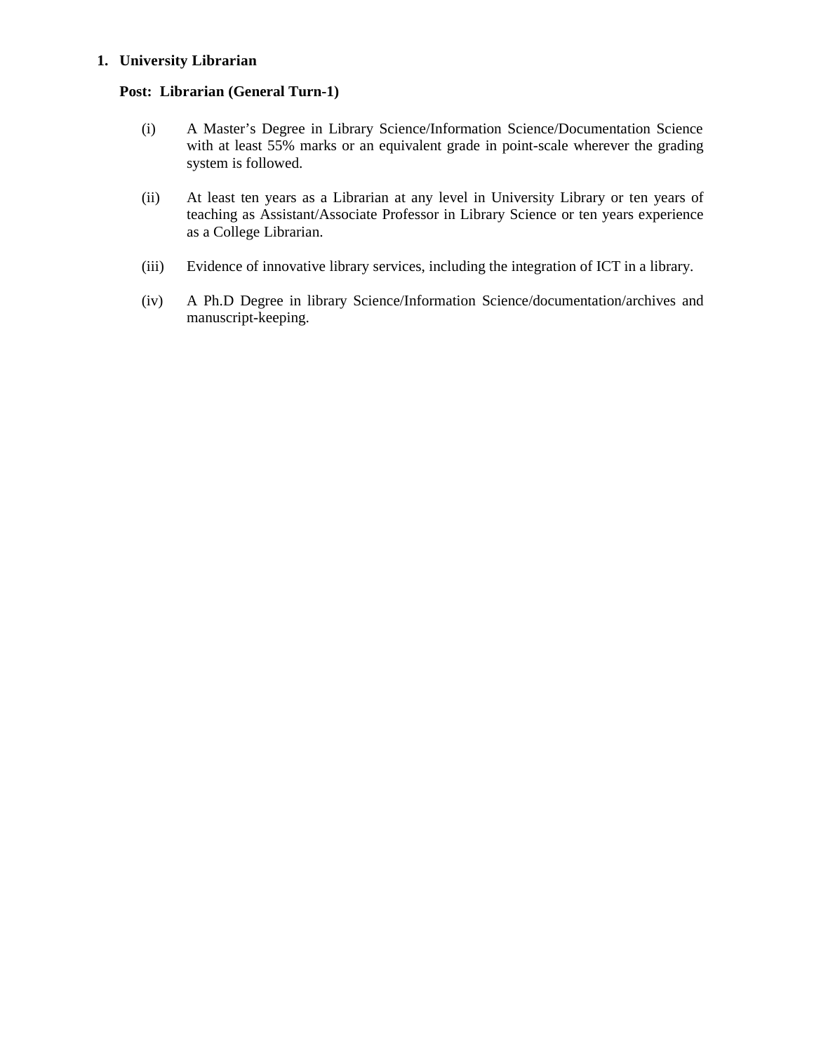#### **1. University Librarian**

#### **Post: Librarian (General Turn-1)**

- (i) A Master's Degree in Library Science/Information Science/Documentation Science with at least 55% marks or an equivalent grade in point-scale wherever the grading system is followed.
- (ii) At least ten years as a Librarian at any level in University Library or ten years of teaching as Assistant/Associate Professor in Library Science or ten years experience as a College Librarian.
- (iii) Evidence of innovative library services, including the integration of ICT in a library.
- (iv) A Ph.D Degree in library Science/Information Science/documentation/archives and manuscript-keeping.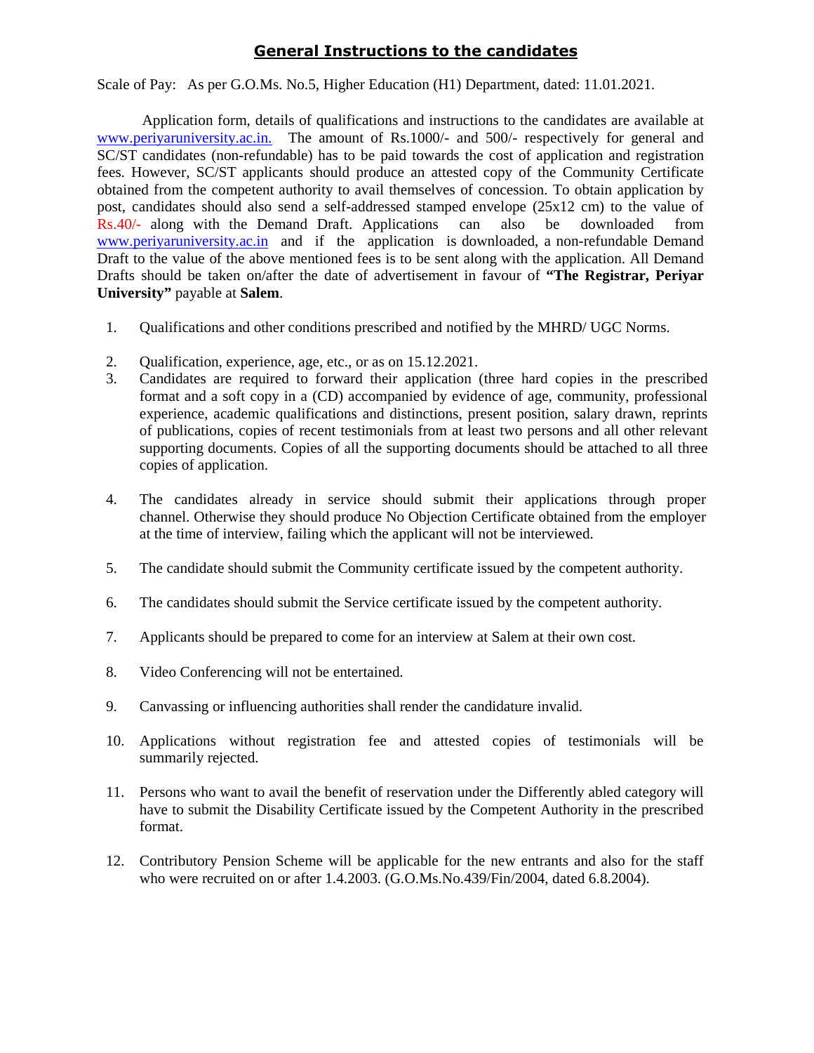### **General Instructions to the candidates**

Scale of Pay: [As per G.O.M](http://www.periyaruniversity.ac.in./)s. No.5, Higher Education (H1) Department, dated: 11.01.2021.

Application form, details of qualifications and instructions to the candidates are available at www.periyaruniversity.ac.in. The amount of Rs.1000/- and 500/- respectively for general and SC/ST candidates (non-refundable) has to be paid towards the cost of application and registration fees. However, SC/ST applicants should produce an attested copy of the Community Certificate obtained from the [competen](http://www.periyaruniversity.ac.in./)t authority to avail themselves of concession. To obtain application by post, candidates should also send a self-addressed stamped envelope (25x12 cm) to the value of Rs.40/- along with the Demand Draft. Applications can also be downloaded from www.periyaruniversity.ac.in and if the application is downloaded, a non-refundable Demand Draft to the value of the above mentioned fees is to be sent along with the application. All Demand Drafts should be taken on/after the date of advertisement in favour of **"The Registrar, Periyar University"** payable at **Salem**.

- 1. Qualifications and other conditions prescribed and notified by the MHRD/ UGC Norms.
- 2. Qualification, experience, age, etc., or as on 15.12.2021.
- 3. Candidates are required to forward their application (three hard copies in the prescribed format and a soft copy in a (CD) accompanied by evidence of age, community, professional experience, academic qualifications and distinctions, present position, salary drawn, reprints of publications, copies of recent testimonials from at least two persons and all other relevant supporting documents. Copies of all the supporting documents should be attached to all three copies of application.
- 4. The candidates already in service should submit their applications through proper channel. Otherwise they should produce No Objection Certificate obtained from the employer at the time of interview, failing which the applicant will not be interviewed.
- 5. The candidate should submit the Community certificate issued by the competent authority.
- 6. The candidates should submit the Service certificate issued by the competent authority.
- 7. Applicants should be prepared to come for an interview at Salem at their own cost.
- 8. Video Conferencing will not be entertained.
- 9. Canvassing or influencing authorities shall render the candidature invalid.
- 10. Applications without registration fee and attested copies of testimonials will be summarily rejected.
- 11. Persons who want to avail the benefit of reservation under the Differently abled category will have to submit the Disability Certificate issued by the Competent Authority in the prescribed format.
- 12. Contributory Pension Scheme will be applicable for the new entrants and also for the staff who were recruited on or after 1.4.2003. (G.O.Ms.No.439/Fin/2004, dated 6.8.2004).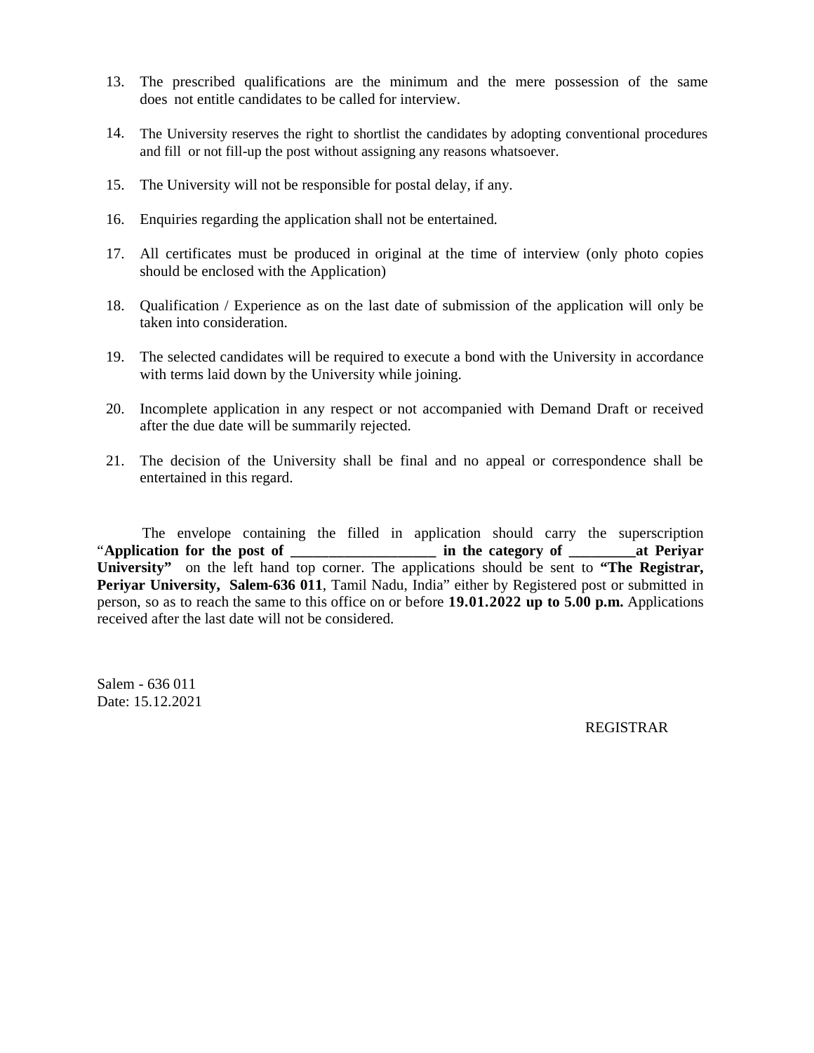- 13. The prescribed qualifications are the minimum and the mere possession of the same does not entitle candidates to be called for interview.
- 14. The University reserves the right to shortlist the candidates by adopting conventional procedures and fill or not fill-up the post without assigning any reasons whatsoever.
- 15. The University will not be responsible for postal delay, if any.
- 16. Enquiries regarding the application shall not be entertained.
- 17. All certificates must be produced in original at the time of interview (only photo copies should be enclosed with the Application)
- 18. Qualification / Experience as on the last date of submission of the application will only be taken into consideration.
- 19. The selected candidates will be required to execute a bond with the University in accordance with terms laid down by the University while joining.
- 20. Incomplete application in any respect or not accompanied with Demand Draft or received after the due date will be summarily rejected.
- 21. The decision of the University shall be final and no appeal or correspondence shall be entertained in this regard.

The envelope containing the filled in application should carry the superscription "**Application for the post of \_\_\_\_\_\_\_\_\_\_\_\_\_\_\_\_\_\_\_ in the category of \_\_\_\_\_\_\_\_\_at Periyar University"** on the left hand top corner. The applications should be sent to **"The Registrar, Periyar University, Salem-636 011**, Tamil Nadu, India" either by Registered post or submitted in person, so as to reach the same to this office on or before **19.01.2022 up to 5.00 p.m.** Applications received after the last date will not be considered.

Salem - 636 011 Date: 15.12.2021

REGISTRAR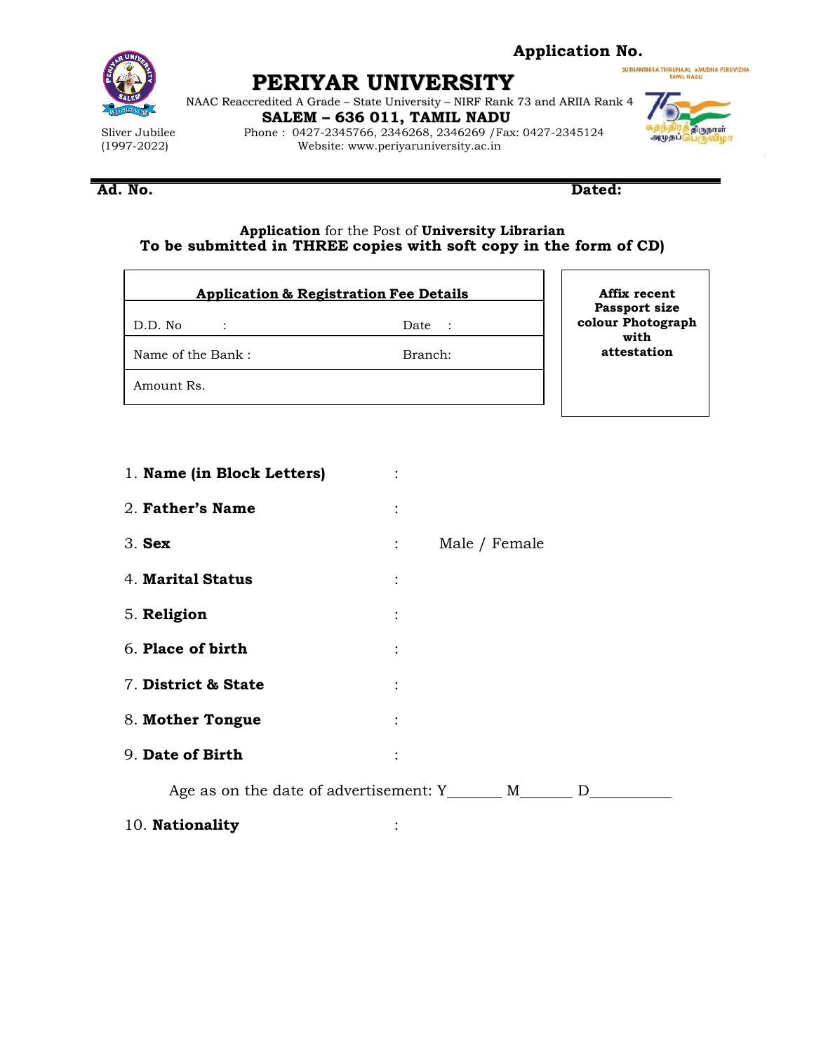

### **Application No.**

SUTHANTHIRA THIRUNAAL AMUDHA PERUVIZHA

**PERIYAR UNIVERSITY**

NAAC Reaccredited A Grade – State University – NIRF Rank 73 and ARIIA Rank 4 **SALEM – 636 011, TAMIL NADU**

Sliver Jubilee Phone : 0427-2345766, 2346268, 2346269 /Fax: 0427-2345124<br>Website: www.periyaruniversity.ac.in Website: www.periyaruniversity.ac.in



#### **Ad. No. Dated:**

#### **Application** for the Post of **University Librarian To be submitted in THREE copies with soft copy in the form of CD)**

|                   | <b>Application &amp; Registration Fee Details</b> | Affix recent<br>Passport size |
|-------------------|---------------------------------------------------|-------------------------------|
| D.D. No           | Date<br>$\mathcal{L}$                             | colour Photograph<br>with     |
| Name of the Bank: | Branch:                                           | attestation                   |
| Amount Rs.        |                                                   |                               |
|                   |                                                   |                               |

| 1. Name (in Block Letters)                             |                |               |
|--------------------------------------------------------|----------------|---------------|
| 2. Father's Name                                       | $\ddot{\cdot}$ |               |
| $3.$ Sex                                               | $\mathbb{R}^n$ | Male / Female |
| 4. Marital Status                                      | $\ddot{\cdot}$ |               |
| 5. Religion                                            | $\ddot{\cdot}$ |               |
| 6. Place of birth                                      | $\ddot{\cdot}$ |               |
| 7. District & State                                    | $\ddot{\cdot}$ |               |
| 8. Mother Tongue                                       | $\ddot{\cdot}$ |               |
| 9. Date of Birth                                       |                |               |
| Age as on the date of advertisement: Y_______ M_______ |                | $\mathbf{D}$  |
| 10. Nationality                                        |                |               |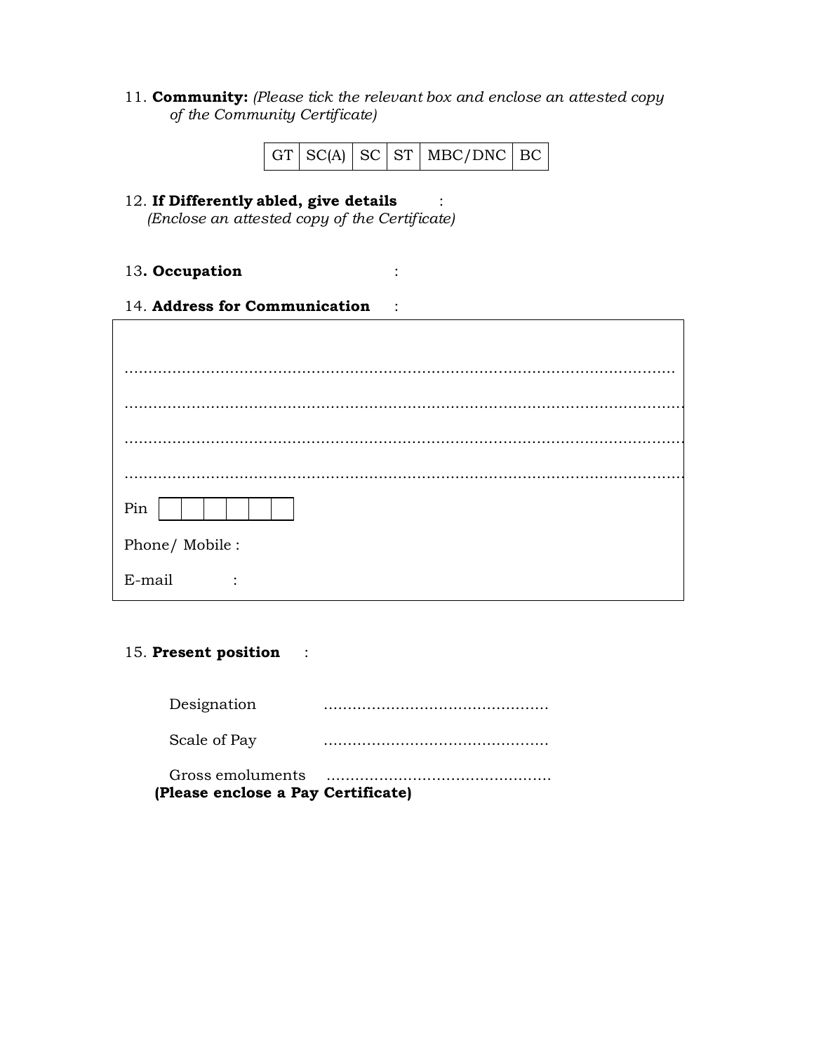11. **Community:** *(Please tick the relevant box and enclose an attested copy of the Community Certificate)*

|  |  |  |  | $\vert$ GT $\vert$ SC(A) $\vert$ SC $\vert$ ST $\vert$ MBC/DNC $\vert$ BC $\vert$ |  |
|--|--|--|--|-----------------------------------------------------------------------------------|--|
|--|--|--|--|-----------------------------------------------------------------------------------|--|

# 12. **If Differently abled, give details** :

*(Enclose an attested copy of the Certificate)*

### 13**. Occupation** :

14. **Address for Communication** :

| Pin                 |
|---------------------|
| Phone/ Mobile:      |
| E-mail<br>$\bullet$ |

### 15. **Present position** :

| (Please enclose a Pay Certificate) |  |
|------------------------------------|--|
| Gross emoluments                   |  |
| Scale of Pay                       |  |
| Designation                        |  |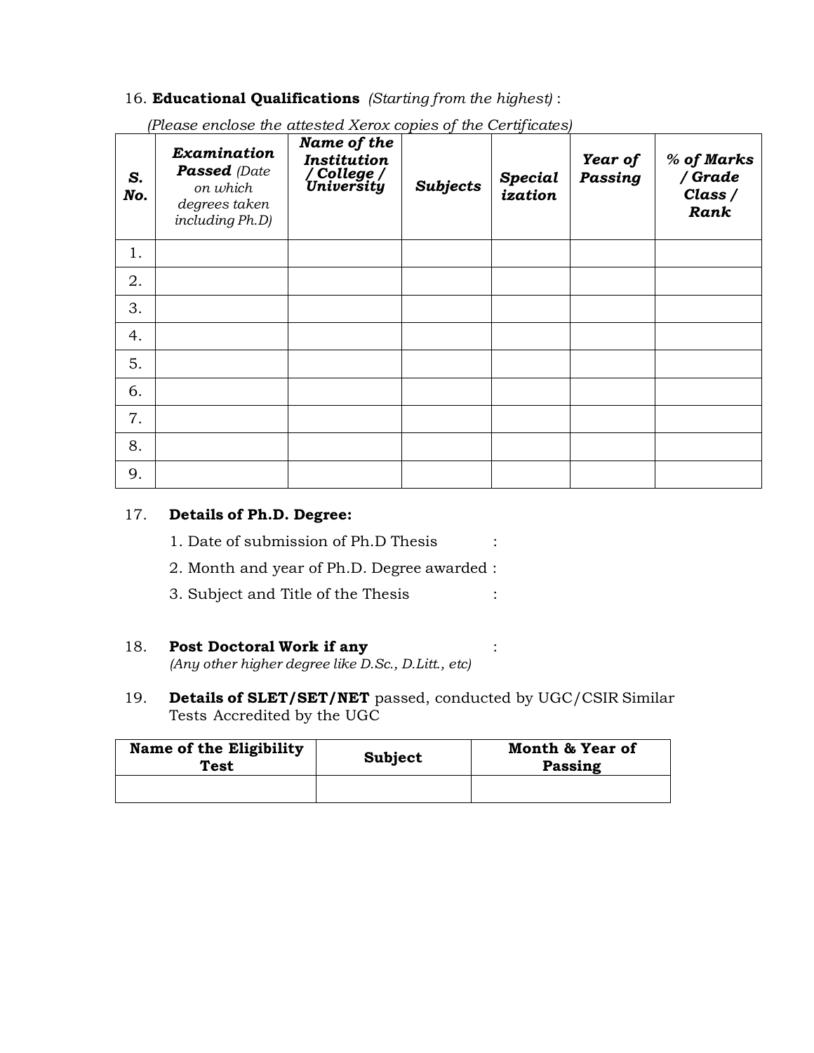### 16. **Educational Qualifications** *(Starting from the highest)* :

| S.<br>No. | Examination<br><b>Passed</b> (Date<br>on which<br>degrees taken<br>including Ph.D) | Name of the<br><b>Institution</b><br>/ College /<br>University | <b>Subjects</b> | <b>Special</b><br>ization | Year of<br>Passing | % of Marks<br>/ Grade<br>Class /<br>Rank |
|-----------|------------------------------------------------------------------------------------|----------------------------------------------------------------|-----------------|---------------------------|--------------------|------------------------------------------|
| 1.        |                                                                                    |                                                                |                 |                           |                    |                                          |
| 2.        |                                                                                    |                                                                |                 |                           |                    |                                          |
| 3.        |                                                                                    |                                                                |                 |                           |                    |                                          |
| 4.        |                                                                                    |                                                                |                 |                           |                    |                                          |
| 5.        |                                                                                    |                                                                |                 |                           |                    |                                          |
| 6.        |                                                                                    |                                                                |                 |                           |                    |                                          |
| 7.        |                                                                                    |                                                                |                 |                           |                    |                                          |
| 8.        |                                                                                    |                                                                |                 |                           |                    |                                          |
| 9.        |                                                                                    |                                                                |                 |                           |                    |                                          |

*(Please enclose the attested Xerox copies of the Certificates)*

### 17. **Details of Ph.D. Degree:**

- 1. Date of submission of Ph.D Thesis :
- 2. Month and year of Ph.D. Degree awarded :
- 3. Subject and Title of the Thesis :

#### 18. **Post Doctoral Work if any** : *(Any other higher degree like D.Sc., D.Litt., etc)*

19. **Details of SLET/SET/NET** passed, conducted by UGC/CSIR Similar Tests Accredited by the UGC

| Name of the Eligibility<br>Test | Subject | Month & Year of<br>Passing |
|---------------------------------|---------|----------------------------|
|                                 |         |                            |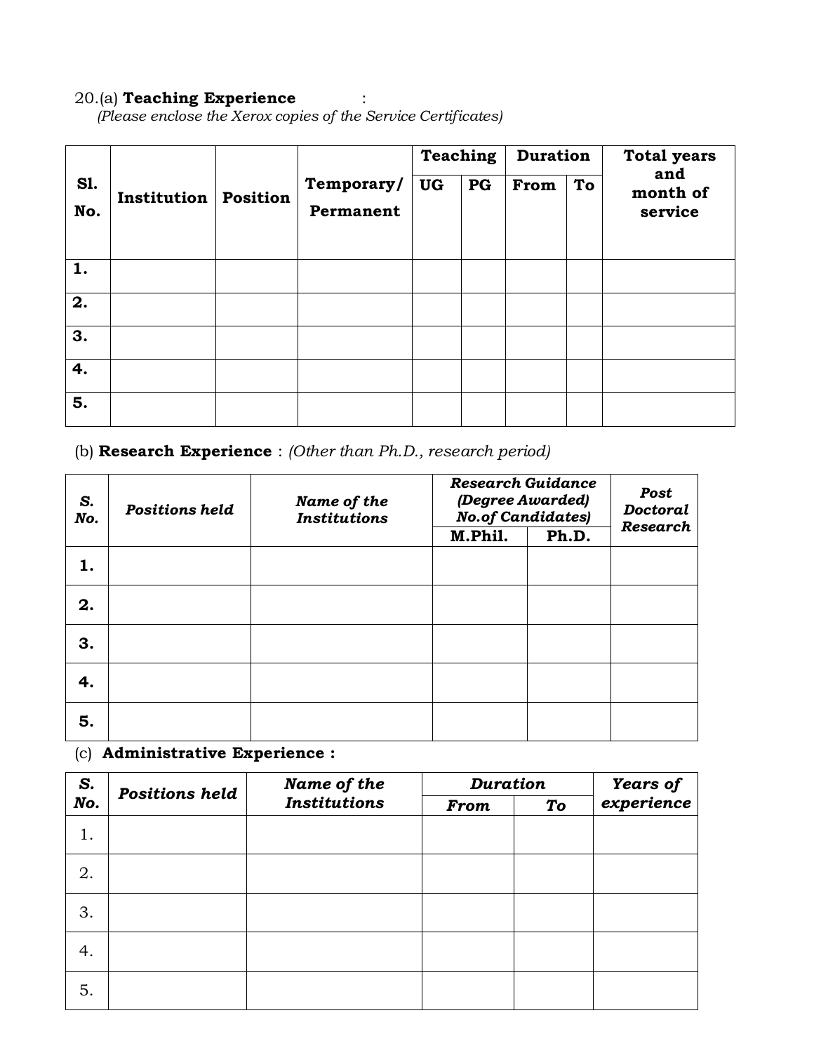# 20.(a) **Teaching Experience** :

*(Please enclose the Xerox copies of the Service Certificates)*

|                   |                    |                 |                         | <b>Teaching</b> |    | <b>Duration</b> |    | <b>Total years</b>         |
|-------------------|--------------------|-----------------|-------------------------|-----------------|----|-----------------|----|----------------------------|
| <b>S1.</b><br>No. | <b>Institution</b> | <b>Position</b> | Temporary/<br>Permanent | <b>UG</b>       | PG | From            | To | and<br>month of<br>service |
| 1.                |                    |                 |                         |                 |    |                 |    |                            |
| 2.                |                    |                 |                         |                 |    |                 |    |                            |
| 3.                |                    |                 |                         |                 |    |                 |    |                            |
| 4.                |                    |                 |                         |                 |    |                 |    |                            |
| 5.                |                    |                 |                         |                 |    |                 |    |                            |

# (b) **Research Experience** : *(Other than Ph.D., research period)*

| S.<br>No. | <b>Positions held</b> | Name of the<br><b>Institutions</b> | <b>Research Guidance</b><br>(Degree Awarded)<br><b>No.of Candidates)</b><br>M.Phil.<br>Ph.D. |  | Post<br><b>Doctoral</b><br><b>Research</b> |
|-----------|-----------------------|------------------------------------|----------------------------------------------------------------------------------------------|--|--------------------------------------------|
| 1.        |                       |                                    |                                                                                              |  |                                            |
| 2.        |                       |                                    |                                                                                              |  |                                            |
| 3.        |                       |                                    |                                                                                              |  |                                            |
| 4.        |                       |                                    |                                                                                              |  |                                            |
| 5.        |                       |                                    |                                                                                              |  |                                            |

# (c) **Administrative Experience :**

| S.  | <b>Positions held</b> | Name of the         |             | <b>Duration</b> |            |  |
|-----|-----------------------|---------------------|-------------|-----------------|------------|--|
| No. |                       | <b>Institutions</b> | <b>From</b> | To              | experience |  |
| 1.  |                       |                     |             |                 |            |  |
| 2.  |                       |                     |             |                 |            |  |
| 3.  |                       |                     |             |                 |            |  |
| 4.  |                       |                     |             |                 |            |  |
| 5.  |                       |                     |             |                 |            |  |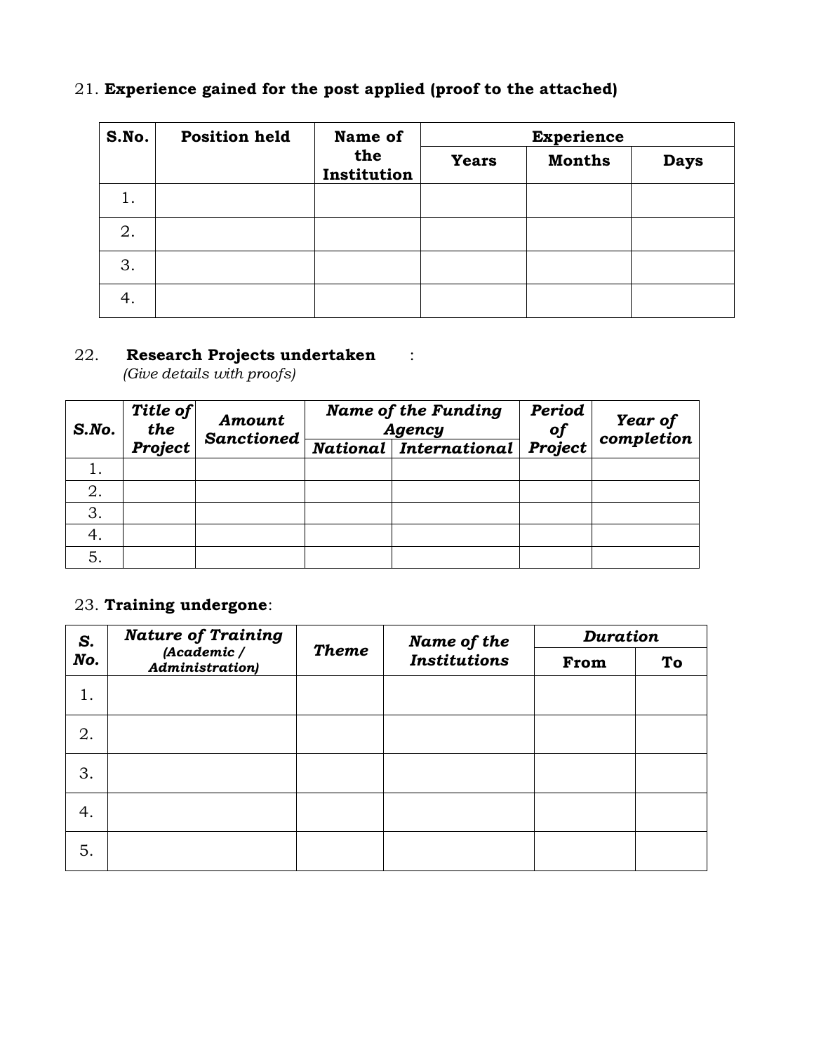| S.No. | <b>Position held</b> | Name of<br>the<br>Institution | <b>Experience</b> |               |             |  |
|-------|----------------------|-------------------------------|-------------------|---------------|-------------|--|
|       |                      |                               | <b>Years</b>      | <b>Months</b> | <b>Days</b> |  |
| 1.    |                      |                               |                   |               |             |  |
| 2.    |                      |                               |                   |               |             |  |
| 3.    |                      |                               |                   |               |             |  |
| 4.    |                      |                               |                   |               |             |  |

# 21. **Experience gained for the post applied (proof to the attached)**

# 22. **Research Projects undertaken** :

*(Give details with proofs)*

| S. No. | Title of<br>Amount<br>the<br><b>Sanctioned</b> |  | <b>Name of the Funding</b><br>Agency | Period<br>of | Year of<br>completion |
|--------|------------------------------------------------|--|--------------------------------------|--------------|-----------------------|
|        | Project                                        |  | National   International             | Project      |                       |
|        |                                                |  |                                      |              |                       |
|        |                                                |  |                                      |              |                       |
| 3.     |                                                |  |                                      |              |                       |
| 4.     |                                                |  |                                      |              |                       |
| 5.     |                                                |  |                                      |              |                       |

# 23. **Training undergone**:

| S.  | <b>Nature of Training</b>              |              |                     |      | <b>Duration</b><br>Name of the |  |  |
|-----|----------------------------------------|--------------|---------------------|------|--------------------------------|--|--|
| No. | (Academic /<br><b>Administration</b> ) | <b>Theme</b> | <b>Institutions</b> | From | To                             |  |  |
| 1.  |                                        |              |                     |      |                                |  |  |
| 2.  |                                        |              |                     |      |                                |  |  |
| 3.  |                                        |              |                     |      |                                |  |  |
| 4.  |                                        |              |                     |      |                                |  |  |
| 5.  |                                        |              |                     |      |                                |  |  |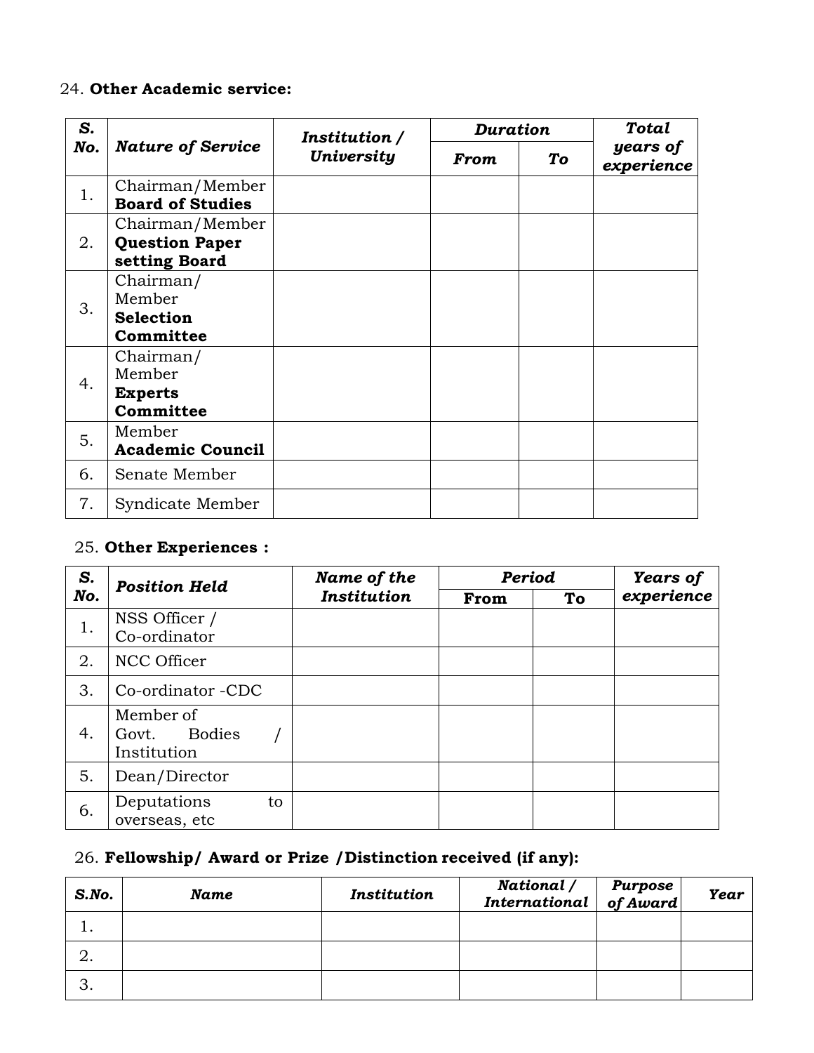# 24. **Other Academic service:**

| S.  |                                                           | Institution /     |             | <b>Duration</b> |                        |  |
|-----|-----------------------------------------------------------|-------------------|-------------|-----------------|------------------------|--|
| No. | <b>Nature of Service</b>                                  | <b>University</b> | <b>From</b> | To              | years of<br>experience |  |
| 1.  | Chairman/Member<br><b>Board of Studies</b>                |                   |             |                 |                        |  |
| 2.  | Chairman/Member<br><b>Question Paper</b><br>setting Board |                   |             |                 |                        |  |
| 3.  | Chairman/<br>Member<br><b>Selection</b><br>Committee      |                   |             |                 |                        |  |
| 4.  | Chairman/<br>Member<br><b>Experts</b><br>Committee        |                   |             |                 |                        |  |
| 5.  | Member<br><b>Academic Council</b>                         |                   |             |                 |                        |  |
| 6.  | Senate Member                                             |                   |             |                 |                        |  |
| 7.  | Syndicate Member                                          |                   |             |                 |                        |  |

# 25. **Other Experiences :**

| S.  | <b>Position Held</b>                        | Name of the | Period |    | <b>Years of</b> |
|-----|---------------------------------------------|-------------|--------|----|-----------------|
| No. | <b>Institution</b>                          |             | From   | To | experience      |
| 1.  | NSS Officer /<br>Co-ordinator               |             |        |    |                 |
| 2.  | NCC Officer                                 |             |        |    |                 |
| 3.  | Co-ordinator -CDC                           |             |        |    |                 |
| 4.  | Member of<br>Bodies<br>Govt.<br>Institution |             |        |    |                 |
| 5.  | Dean/Director                               |             |        |    |                 |
| 6.  | Deputations<br>to<br>overseas, etc          |             |        |    |                 |

# 26. **Fellowship/ Award or Prize /Distinction received (if any):**

| $S$ .No. | Name | Institution | National /<br>  National /   Purpose<br>  International   of Award | <b>Year</b> |
|----------|------|-------------|--------------------------------------------------------------------|-------------|
|          |      |             |                                                                    |             |
|          |      |             |                                                                    |             |
|          |      |             |                                                                    |             |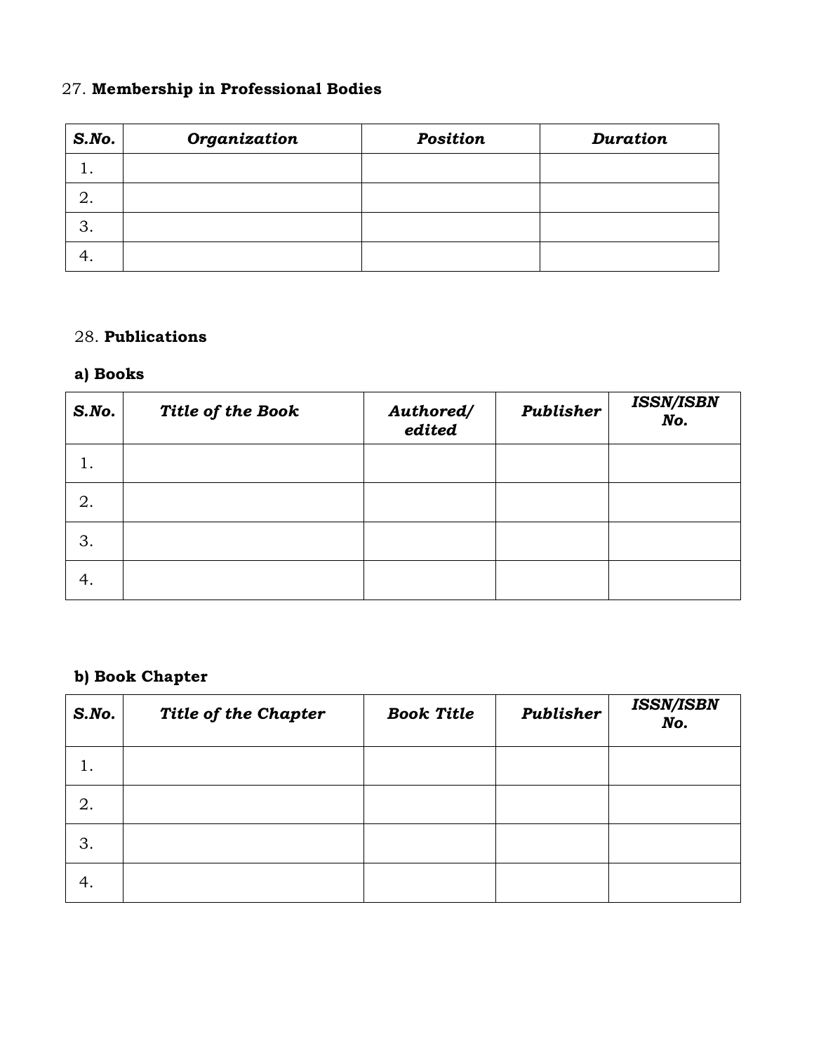# 27. **Membership in Professional Bodies**

| $S$ .No. | Organization | <b>Position</b> | Duration |
|----------|--------------|-----------------|----------|
|          |              |                 |          |
| 2.       |              |                 |          |
| 3.       |              |                 |          |
|          |              |                 |          |

# 28. **Publications**

# **a) Books**

| $S$ .No. | Title of the Book | Authored/<br>edited | Publisher | <b>ISSN/ISBN</b><br>No. |
|----------|-------------------|---------------------|-----------|-------------------------|
| 1.       |                   |                     |           |                         |
| 2.       |                   |                     |           |                         |
| 3.       |                   |                     |           |                         |
| 4.       |                   |                     |           |                         |

# **b) Book Chapter**

| S. No. | Title of the Chapter | <b>Book Title</b> | Publisher | <b>ISSN/ISBN</b><br>No. |
|--------|----------------------|-------------------|-----------|-------------------------|
| l.     |                      |                   |           |                         |
| 2.     |                      |                   |           |                         |
| 3.     |                      |                   |           |                         |
| 4.     |                      |                   |           |                         |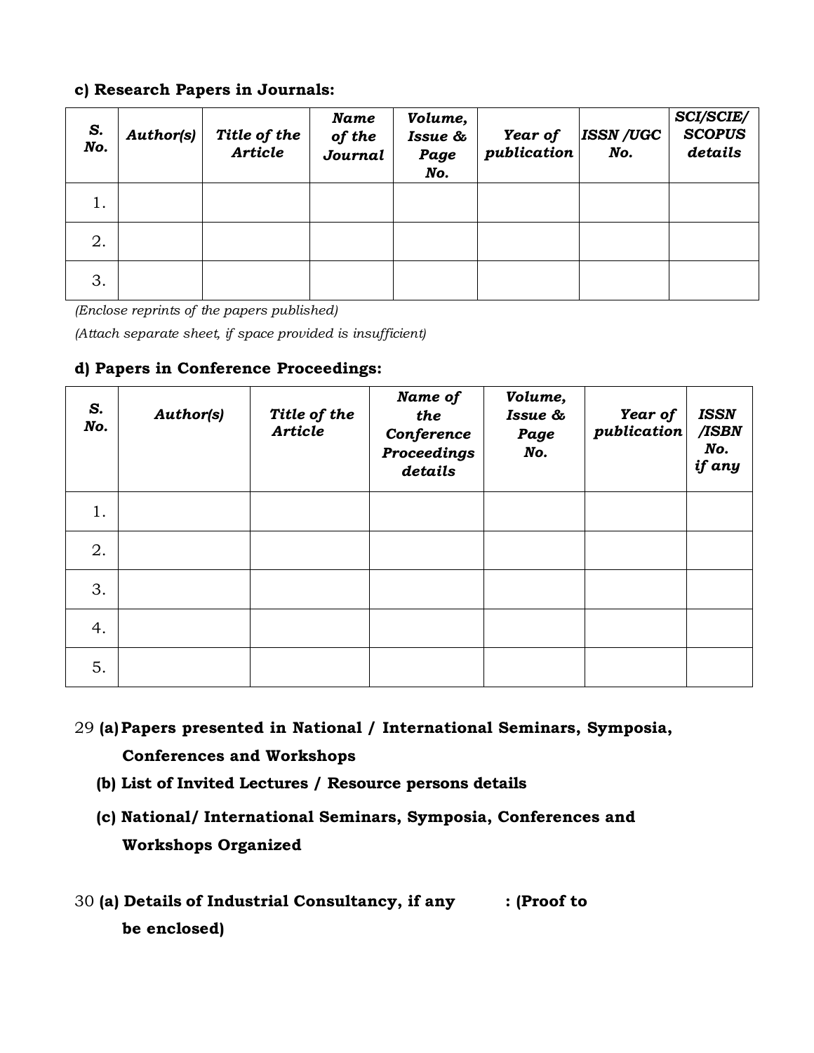### **c) Research Papers in Journals:**

| S.<br>No. | <b>Author(s)</b> | Title of the<br><b>Article</b> | Name<br>of the<br>Journal | Volume,<br>Issue &<br>Page<br>No. | Year of<br>publication | <b>ISSN /UGC</b><br>No. | <b>SCI/SCIE/</b><br><b>SCOPUS</b><br>details |
|-----------|------------------|--------------------------------|---------------------------|-----------------------------------|------------------------|-------------------------|----------------------------------------------|
|           |                  |                                |                           |                                   |                        |                         |                                              |
| 2.        |                  |                                |                           |                                   |                        |                         |                                              |
| 3.        |                  |                                |                           |                                   |                        |                         |                                              |

*(Enclose reprints of the papers published)*

*(Attach separate sheet, if space provided is insufficient)*

**d) Papers in Conference Proceedings:**

| S.<br>No. | <b>Author(s)</b> | Title of the<br><b>Article</b> | Name of<br>the<br>Conference<br><b>Proceedings</b><br>details | Volume,<br>Issue &<br>Page<br>No. | Year of<br>publication | <b>ISSN</b><br>/ISBN<br>No.<br>if any |
|-----------|------------------|--------------------------------|---------------------------------------------------------------|-----------------------------------|------------------------|---------------------------------------|
| 1.        |                  |                                |                                                               |                                   |                        |                                       |
| 2.        |                  |                                |                                                               |                                   |                        |                                       |
| 3.        |                  |                                |                                                               |                                   |                        |                                       |
| 4.        |                  |                                |                                                               |                                   |                        |                                       |
| 5.        |                  |                                |                                                               |                                   |                        |                                       |

- 29 **(a)Papers presented in National / International Seminars, Symposia, Conferences and Workshops**
	- **(b) List of Invited Lectures / Resource persons details**
	- **(c) National/ International Seminars, Symposia, Conferences and Workshops Organized**
- 30 **(a) Details of Industrial Consultancy, if any : (Proof to be enclosed)**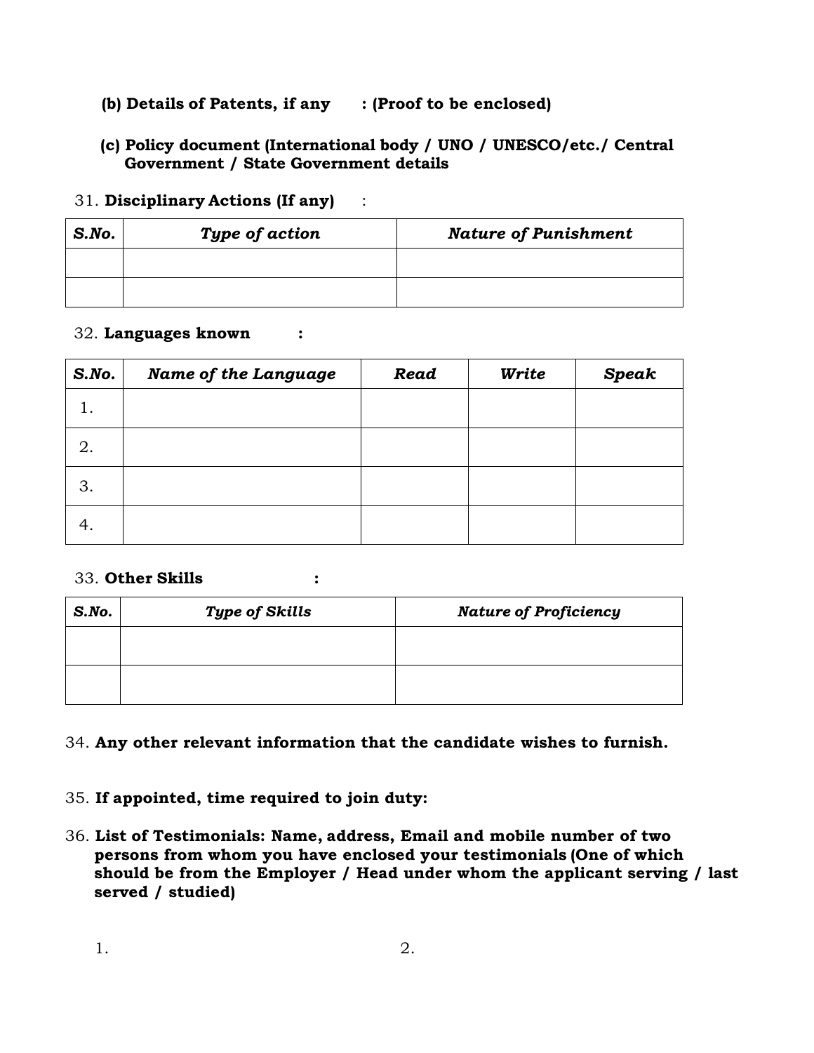# **(b) Details of Patents, if any : (Proof to be enclosed)**

# **(c) Policy document (International body / UNO / UNESCO/etc./ Central Government / State Government details**

### 31. **Disciplinary Actions (If any)** :

| $S$ .No. | Type of action | <b>Nature of Punishment</b> |
|----------|----------------|-----------------------------|
|          |                |                             |
|          |                |                             |

### 32. **Languages known :**

| $S$ .No. | <b>Name of the Language</b> | Read | Write | <b>Speak</b> |
|----------|-----------------------------|------|-------|--------------|
|          |                             |      |       |              |
| 2.       |                             |      |       |              |
| 3.       |                             |      |       |              |
| 4.       |                             |      |       |              |

### 33. **Other Skills :**

| S. No. | <b>Type of Skills</b> | <b>Nature of Proficiency</b> |  |
|--------|-----------------------|------------------------------|--|
|        |                       |                              |  |
|        |                       |                              |  |

# 34. **Any other relevant information that the candidate wishes to furnish.**

# 35. **If appointed, time required to join duty:**

36. **List of Testimonials: Name, address, Email and mobile number of two persons from whom you have enclosed your testimonials (One of which should be from the Employer / Head under whom the applicant serving / last served / studied)**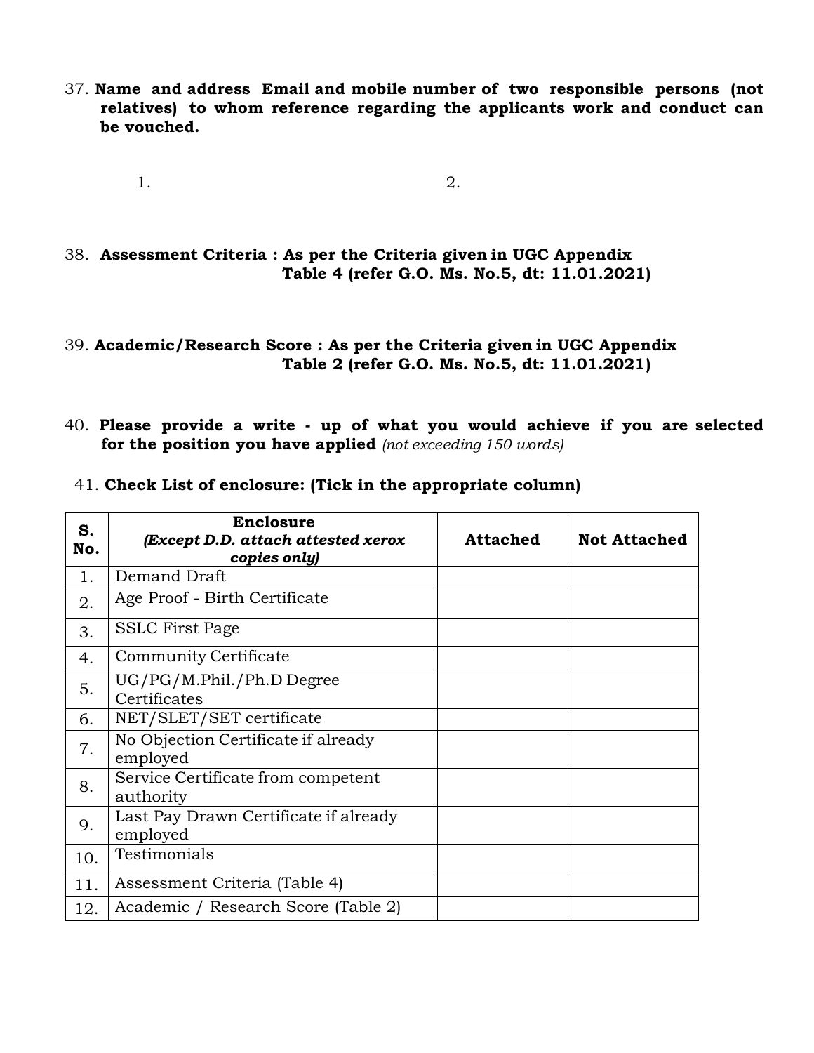- 37. **Name and address Email and mobile number of two responsible persons (not relatives) to whom reference regarding the applicants work and conduct can be vouched.**
	- 1. 2.

38. **Assessment Criteria : As per the Criteria given in UGC Appendix Table 4 (refer G.O. Ms. No.5, dt: 11.01.2021)**

### 39. **Academic/Research Score : As per the Criteria given in UGC Appendix Table 2 (refer G.O. Ms. No.5, dt: 11.01.2021)**

40. **Please provide a write - up of what you would achieve if you are selected for the position you have applied** *(not exceeding 150 words)*

|  | 41. Check List of enclosure: (Tick in the appropriate column) |  |
|--|---------------------------------------------------------------|--|
|--|---------------------------------------------------------------|--|

| S.<br>No. | <b>Enclosure</b><br>(Except D.D. attach attested xerox<br>copies only) | <b>Attached</b> | <b>Not Attached</b> |
|-----------|------------------------------------------------------------------------|-----------------|---------------------|
| 1.        | Demand Draft                                                           |                 |                     |
| 2.        | Age Proof - Birth Certificate                                          |                 |                     |
| 3.        | <b>SSLC</b> First Page                                                 |                 |                     |
| 4.        | Community Certificate                                                  |                 |                     |
| 5.        | $UG/PG/M.Phil./Ph.D$ Degree<br>Certificates                            |                 |                     |
| 6.        | NET/SLET/SET certificate                                               |                 |                     |
| 7.        | No Objection Certificate if already<br>employed                        |                 |                     |
| 8.        | Service Certificate from competent<br>authority                        |                 |                     |
| 9.        | Last Pay Drawn Certificate if already<br>employed                      |                 |                     |
| 10.       | Testimonials                                                           |                 |                     |
| 11.       | Assessment Criteria (Table 4)                                          |                 |                     |
| 12.       | Academic / Research Score (Table 2)                                    |                 |                     |